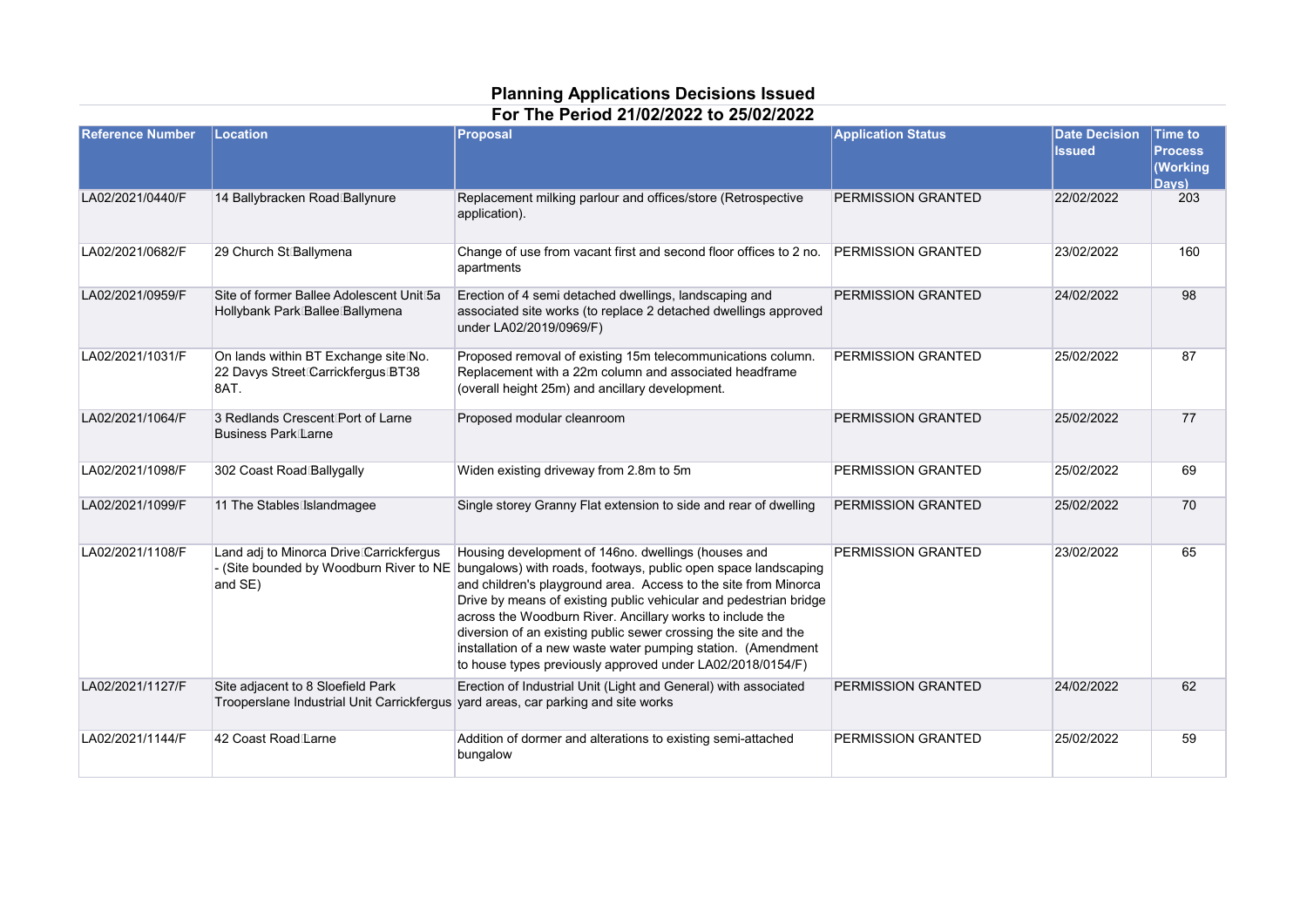## **Planning Applications Decisions Issued**

| <b>Reference Number</b> | Location                                                                                                               | Proposal                                                                                                                                                                                                                                                                                                                                                                                                                                                                                                                     | <b>Application Status</b> | <b>Date Decision</b> | <b>Time to</b>                      |
|-------------------------|------------------------------------------------------------------------------------------------------------------------|------------------------------------------------------------------------------------------------------------------------------------------------------------------------------------------------------------------------------------------------------------------------------------------------------------------------------------------------------------------------------------------------------------------------------------------------------------------------------------------------------------------------------|---------------------------|----------------------|-------------------------------------|
|                         |                                                                                                                        |                                                                                                                                                                                                                                                                                                                                                                                                                                                                                                                              |                           | <b>Issued</b>        | <b>Process</b><br>(Working<br>Davs) |
| LA02/2021/0440/F        | 14 Ballybracken Road Ballynure                                                                                         | Replacement milking parlour and offices/store (Retrospective<br>application).                                                                                                                                                                                                                                                                                                                                                                                                                                                | PERMISSION GRANTED        | 22/02/2022           | 203                                 |
| LA02/2021/0682/F        | 29 Church St Ballymena                                                                                                 | Change of use from vacant first and second floor offices to 2 no.<br>apartments                                                                                                                                                                                                                                                                                                                                                                                                                                              | <b>PERMISSION GRANTED</b> | 23/02/2022           | 160                                 |
| LA02/2021/0959/F        | Site of former Ballee Adolescent Unit 5a<br>Hollybank Park Ballee Ballymena                                            | Erection of 4 semi detached dwellings, landscaping and<br>associated site works (to replace 2 detached dwellings approved<br>under LA02/2019/0969/F)                                                                                                                                                                                                                                                                                                                                                                         | PERMISSION GRANTED        | 24/02/2022           | 98                                  |
| LA02/2021/1031/F        | On lands within BT Exchange site No.<br>22 Davys Street Carrickfergus BT38<br>8AT.                                     | Proposed removal of existing 15m telecommunications column.<br>Replacement with a 22m column and associated headframe<br>(overall height 25m) and ancillary development.                                                                                                                                                                                                                                                                                                                                                     | <b>PERMISSION GRANTED</b> | 25/02/2022           | 87                                  |
| LA02/2021/1064/F        | 3 Redlands Crescent Port of Larne<br><b>Business Park Larne</b>                                                        | Proposed modular cleanroom                                                                                                                                                                                                                                                                                                                                                                                                                                                                                                   | PERMISSION GRANTED        | 25/02/2022           | 77                                  |
| LA02/2021/1098/F        | 302 Coast Road Ballygally                                                                                              | Widen existing driveway from 2.8m to 5m                                                                                                                                                                                                                                                                                                                                                                                                                                                                                      | PERMISSION GRANTED        | 25/02/2022           | 69                                  |
| LA02/2021/1099/F        | 11 The Stables Islandmagee                                                                                             | Single storey Granny Flat extension to side and rear of dwelling                                                                                                                                                                                                                                                                                                                                                                                                                                                             | PERMISSION GRANTED        | 25/02/2022           | 70                                  |
| LA02/2021/1108/F        | Land adj to Minorca Drive Carrickfergus<br>- (Site bounded by Woodburn River to NE<br>and SE)                          | Housing development of 146no. dwellings (houses and<br>bungalows) with roads, footways, public open space landscaping<br>and children's playground area. Access to the site from Minorca<br>Drive by means of existing public vehicular and pedestrian bridge<br>across the Woodburn River. Ancillary works to include the<br>diversion of an existing public sewer crossing the site and the<br>installation of a new waste water pumping station. (Amendment<br>to house types previously approved under LA02/2018/0154/F) | PERMISSION GRANTED        | 23/02/2022           | 65                                  |
| LA02/2021/1127/F        | Site adjacent to 8 Sloefield Park<br>Trooperslane Industrial Unit Carrickfergus vard areas, car parking and site works | Erection of Industrial Unit (Light and General) with associated                                                                                                                                                                                                                                                                                                                                                                                                                                                              | PERMISSION GRANTED        | 24/02/2022           | 62                                  |
| LA02/2021/1144/F        | 42 Coast Road Larne                                                                                                    | Addition of dormer and alterations to existing semi-attached<br>bungalow                                                                                                                                                                                                                                                                                                                                                                                                                                                     | PERMISSION GRANTED        | 25/02/2022           | 59                                  |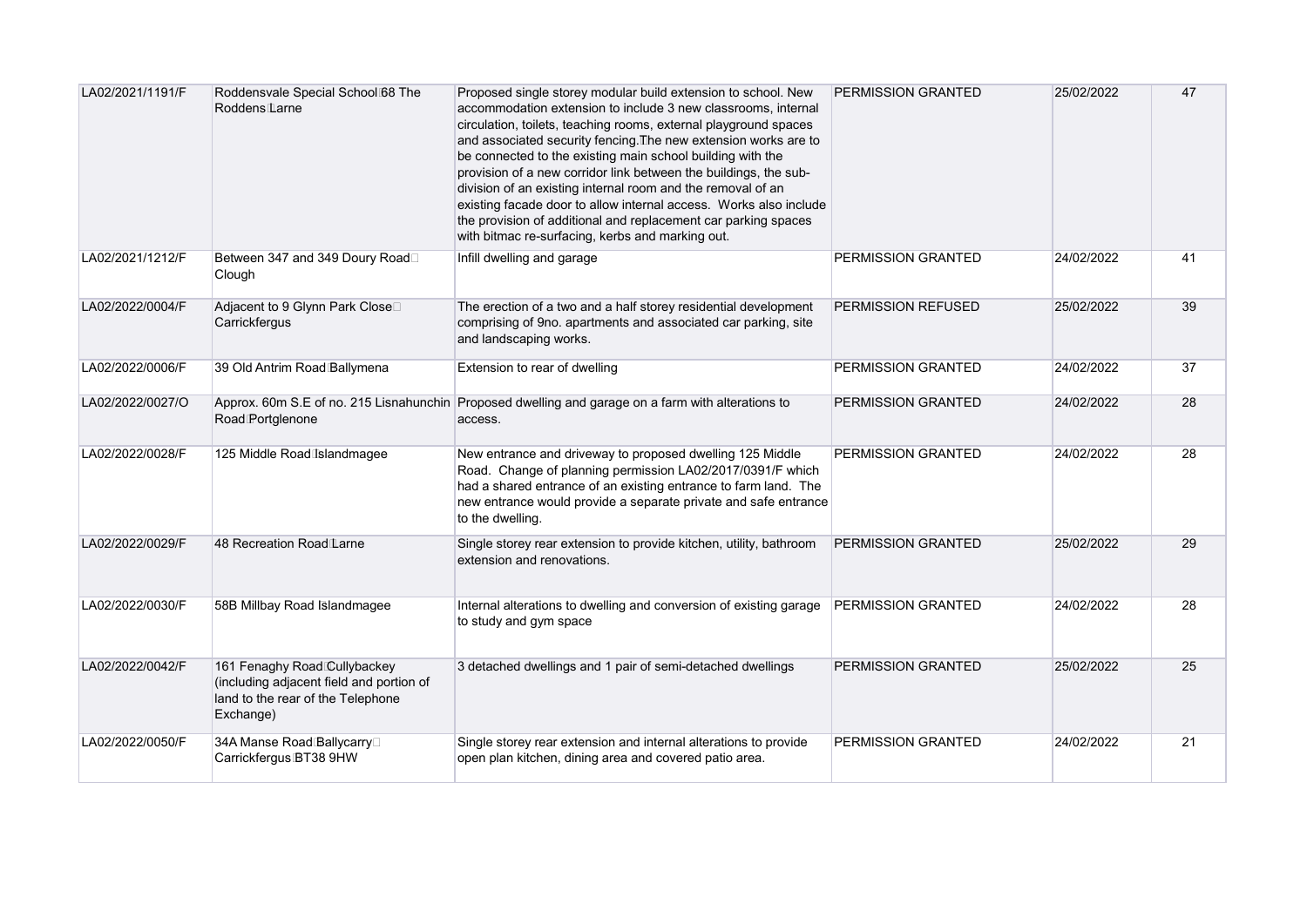| LA02/2021/1191/F | Roddensvale Special School 68 The<br>Roddensflarne                                                                         | Proposed single storey modular build extension to school. New<br>accommodation extension to include 3 new classrooms, internal<br>circulation, toilets, teaching rooms, external playground spaces<br>and associated security fencing. The new extension works are to<br>be connected to the existing main school building with the<br>provision of a new corridor link between the buildings, the sub-<br>division of an existing internal room and the removal of an<br>existing facade door to allow internal access. Works also include<br>the provision of additional and replacement car parking spaces<br>with bitmac re-surfacing, kerbs and marking out. | PERMISSION GRANTED        | 25/02/2022 | 47 |
|------------------|----------------------------------------------------------------------------------------------------------------------------|-------------------------------------------------------------------------------------------------------------------------------------------------------------------------------------------------------------------------------------------------------------------------------------------------------------------------------------------------------------------------------------------------------------------------------------------------------------------------------------------------------------------------------------------------------------------------------------------------------------------------------------------------------------------|---------------------------|------------|----|
| LA02/2021/1212/F | Between 347 and 349 Doury Road□<br>Clough                                                                                  | Infill dwelling and garage                                                                                                                                                                                                                                                                                                                                                                                                                                                                                                                                                                                                                                        | PERMISSION GRANTED        | 24/02/2022 | 41 |
| LA02/2022/0004/F | Adjacent to 9 Glynn Park Close□<br>Carrickfergus                                                                           | The erection of a two and a half storey residential development<br>comprising of 9no. apartments and associated car parking, site<br>and landscaping works.                                                                                                                                                                                                                                                                                                                                                                                                                                                                                                       | <b>PERMISSION REFUSED</b> | 25/02/2022 | 39 |
| LA02/2022/0006/F | 39 Old Antrim Road Ballymena                                                                                               | Extension to rear of dwelling                                                                                                                                                                                                                                                                                                                                                                                                                                                                                                                                                                                                                                     | PERMISSION GRANTED        | 24/02/2022 | 37 |
| LA02/2022/0027/O | Road Portglenone                                                                                                           | Approx. 60m S.E of no. 215 Lisnahunchin Proposed dwelling and garage on a farm with alterations to<br>access.                                                                                                                                                                                                                                                                                                                                                                                                                                                                                                                                                     | PERMISSION GRANTED        | 24/02/2022 | 28 |
| LA02/2022/0028/F | 125 Middle Road Islandmagee                                                                                                | New entrance and driveway to proposed dwelling 125 Middle<br>Road. Change of planning permission LA02/2017/0391/F which<br>had a shared entrance of an existing entrance to farm land. The<br>new entrance would provide a separate private and safe entrance<br>to the dwelling.                                                                                                                                                                                                                                                                                                                                                                                 | PERMISSION GRANTED        | 24/02/2022 | 28 |
| LA02/2022/0029/F | 48 Recreation Road Larne                                                                                                   | Single storey rear extension to provide kitchen, utility, bathroom<br>extension and renovations.                                                                                                                                                                                                                                                                                                                                                                                                                                                                                                                                                                  | PERMISSION GRANTED        | 25/02/2022 | 29 |
| LA02/2022/0030/F | 58B Millbay Road Islandmagee                                                                                               | Internal alterations to dwelling and conversion of existing garage<br>to study and gym space                                                                                                                                                                                                                                                                                                                                                                                                                                                                                                                                                                      | PERMISSION GRANTED        | 24/02/2022 | 28 |
| LA02/2022/0042/F | 161 Fenaghy Road Cullybackey<br>(including adjacent field and portion of<br>land to the rear of the Telephone<br>Exchange) | 3 detached dwellings and 1 pair of semi-detached dwellings                                                                                                                                                                                                                                                                                                                                                                                                                                                                                                                                                                                                        | PERMISSION GRANTED        | 25/02/2022 | 25 |
| LA02/2022/0050/F | 34A Manse Road Ballycarry□<br>Carrickfergus BT38 9HW                                                                       | Single storey rear extension and internal alterations to provide<br>open plan kitchen, dining area and covered patio area.                                                                                                                                                                                                                                                                                                                                                                                                                                                                                                                                        | PERMISSION GRANTED        | 24/02/2022 | 21 |